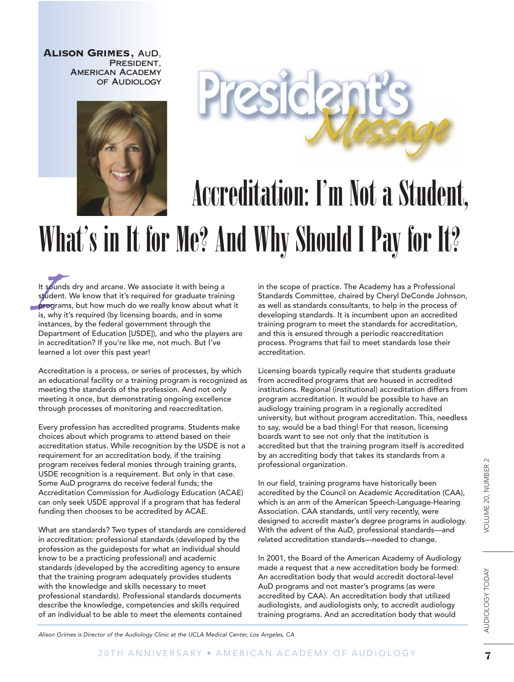Alison Grimes, AuD, PRESIDENT, American Academy of Audiology





## Accreditation: I'm Not a Student, What's in It for Me? And Why Should I Pay for It?

It sou<br>stude<br>progr<br>is, white It sounds dry and arcane. We associate it with being a student. We know that it's required for graduate training programs, but how much do we really know about what it is, why it's required (by licensing boards, and in some instances, by the federal government through the Department of Education [USDE]), and who the players are in accreditation? If you're like me, not much. But I've learned a lot over this past year!

Accreditation is a process, or series of processes, by which an educational facility or a training program is recognized as meeting the standards of the profession. And not only meeting it once, but demonstrating ongoing excellence through processes of monitoring and reaccreditation.

Every profession has accredited programs. Students make choices about which programs to attend based on their accreditation status. While recognition by the USDE is not a requirement for an accreditation body, if the training program receives federal monies through training grants, USDE recognition is a requirement. But only in that case. Some AuD programs do receive federal funds; the Accreditation Commission for Audiology Education (ACAE) can only seek USDE approval if a program that has federal funding then chooses to be accredited by ACAE.

What are standards? Two types of standards are considered in accreditation: professional standards (developed by the profession as the guideposts for what an individual should know to be a practicing professional) and academic standards (developed by the accrediting agency to ensure that the training program adequately provides students with the knowledge and skills necessary to meet professional standards). Professional standards documents describe the knowledge, competencies and skills required of an individual to be able to meet the elements contained

in the scope of practice. The Academy has a Professional Standards Committee, chaired by Cheryl DeConde Johnson, as well as standards consultants, to help in the process of developing standards. It is incumbent upon an accredited training program to meet the standards for accreditation, and this is ensured through a periodic reaccreditation process. Programs that fail to meet standards lose their accreditation.

Licensing boards typically require that students graduate from accredited programs that are housed in accredited institutions. Regional (institutional) accreditation differs from program accreditation. It would be possible to have an audiology training program in a regionally accredited university, but without program accreditation. This, needless to say, would be a bad thing! For that reason, licensing boards want to see not only that the institution is accredited but that the training program itself is accredited by an accrediting body that takes its standards from a professional organization.

In our field, training programs have historically been accredited by the Council on Academic Accreditation (CAA), which is an arm of the American Speech-Language-Hearing Association. CAA standards, until very recently, were designed to accredit master's degree programs in audiology. With the advent of the AuD, professional standards—and related accreditation standards—needed to change.

In 2001, the Board of the American Academy of Audiology made a request that a new accreditation body be formed: An accreditation body that would accredit doctoral-level AuD programs and not master's programs (as were accredited by CAA). An accreditation body that utilized audiologists, and audiologists only, to accredit audiology training programs. And an accreditation body that would

Alison Grimes is Director of the Audiology Clinic at the UCLA Medical Center, Los Angeles, CA

AUDIOLOGY TODAY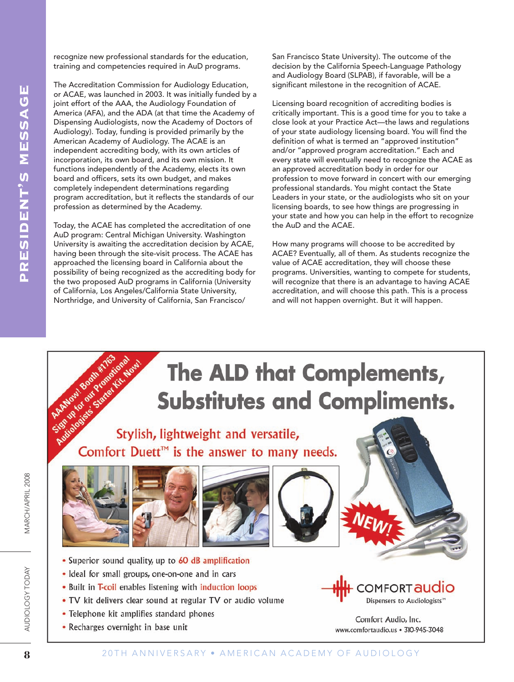recognize new professional standards for the education, training and competencies required in AuD programs.

The Accreditation Commission for Audiology Education, or ACAE, was launched in 2003. It was initially funded by a joint effort of the AAA, the Audiology Foundation of America (AFA), and the ADA (at that time the Academy of Dispensing Audiologists, now the Academy of Doctors of Audiology). Today, funding is provided primarily by the American Academy of Audiology. The ACAE is an independent accrediting body, with its own articles of incorporation, its own board, and its own mission. It functions independently of the Academy, elects its own board and officers, sets its own budget, and makes completely independent determinations regarding program accreditation, but it reflects the standards of our profession as determined by the Academy.

Today, the ACAE has completed the accreditation of one AuD program: Central Michigan University. Washington University is awaiting the accreditation decision by ACAE, having been through the site-visit process. The ACAE has approached the licensing board in California about the possibility of being recognized as the accrediting body for the two proposed AuD programs in California (University of California, Los Angeles/California State University, Northridge, and University of California, San Francisco/

San Francisco State University). The outcome of the decision by the California Speech-Language Pathology and Audiology Board (SLPAB), if favorable, will be a significant milestone in the recognition of ACAE.

Licensing board recognition of accrediting bodies is critically important. This is a good time for you to take a close look at your Practice Act—the laws and regulations of your state audiology licensing board. You will find the definition of what is termed an "approved institution" and/or "approved program accreditation." Each and every state will eventually need to recognize the ACAE as an approved accreditation body in order for our profession to move forward in concert with our emerging professional standards. You might contact the State Leaders in your state, or the audiologists who sit on your licensing boards, to see how things are progressing in your state and how you can help in the effort to recognize the AuD and the ACAE.

How many programs will choose to be accredited by ACAE? Eventually, all of them. As students recognize the value of ACAE accreditation, they will choose these programs. Universities, wanting to compete for students, will recognize that there is an advantage to having ACAE accreditation, and will choose this path. This is a process and will not happen overnight. But it will happen.



AUDIOLOGY TODAY

**VIARCH/APRIL 2008**